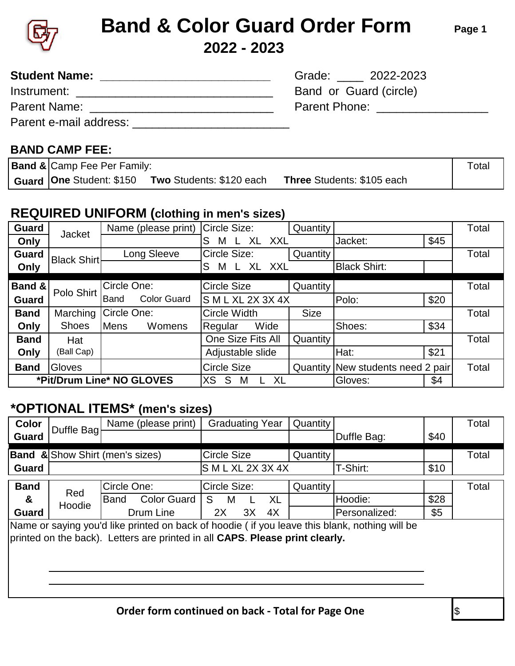

# **2022 - 2023 Band & Color Guard Order Form**

**Student Name: \_\_\_\_\_\_\_\_\_\_\_\_\_\_\_\_\_\_\_\_\_\_\_\_\_\_** Grade: \_\_\_\_ 2022-2023

Parent Name: \_\_\_\_\_\_\_\_\_\_\_\_\_\_\_\_\_\_\_\_\_\_\_\_\_\_\_\_ Parent Phone: \_\_\_\_\_\_\_\_\_\_\_\_\_\_\_\_\_

**Page 1**

| <b>Student Name:</b> |  |
|----------------------|--|
|----------------------|--|

Instrument: \_\_\_\_\_\_\_\_\_\_\_\_\_\_\_\_\_\_\_\_\_\_\_\_\_\_\_\_\_\_ Band or Guard (circle)

| <b>Parent Name:</b> |
|---------------------|
|---------------------|

Parent e-mail address: \_\_\_\_\_\_\_\_\_\_\_\_\_\_\_\_\_\_\_\_\_\_\_\_\_\_\_\_\_\_\_\_\_\_\_\_\_\_

#### **BAND CAMP FEE:**

**Band & Camp Fee Per Family:** Total **Guard One** Student: \$150 **Two** Students: \$120 each **Three** Students: \$105 each

### **REQUIRED UNIFORM (clothing in men's sizes)**

| <b>Guard</b>              | <b>Jacket</b>      | Name (please print)               | Circle Size:           | <b>Quantity</b> |                                   |      | Total |
|---------------------------|--------------------|-----------------------------------|------------------------|-----------------|-----------------------------------|------|-------|
| Only                      |                    |                                   | XL XXL<br>S<br>М       |                 | Jacket:                           | \$45 |       |
| <b>Guard</b>              | <b>Black Shirt</b> | Long Sleeve                       | Circle Size:           | <b>Quantity</b> |                                   |      | Total |
| Only                      |                    |                                   | XL XXL<br>S<br>М<br>L. |                 | <b>Black Shirt:</b>               |      |       |
| Band &                    | Polo Shirt         | Circle One:                       | <b>Circle Size</b>     | Quantity        |                                   |      | Total |
| <b>Guard</b>              |                    | <b>Color Guard</b><br><b>Band</b> | S M L XL 2X 3X 4X      |                 | Polo:                             | \$20 |       |
| <b>Band</b>               | Marching           | Circle One:                       | Circle Width           | <b>Size</b>     |                                   |      | Total |
| Only                      | <b>Shoes</b>       | <b>Mens</b><br>Womens             | Wide<br>Regular        |                 | Shoes:                            | \$34 |       |
| <b>Band</b>               | Hat                |                                   | One Size Fits All      | Quantity        |                                   |      | Total |
| Only                      | (Ball Cap)         |                                   | Adjustable slide       |                 | Hat:                              | \$21 |       |
| <b>Band</b>               | Gloves             |                                   | <b>Circle Size</b>     |                 | Quantity New students need 2 pair |      | Total |
| *Pit/Drum Line* NO GLOVES |                    | <b>XS</b><br>XL<br>S<br>M         |                        | <b>Gloves:</b>  | \$4                               |      |       |

### **\*OPTIONAL ITEMS\* (men's sizes)**

| Color                                                                                                                                                                         | Duffle Bag                                                       |             | Name (please print) |                   |          |    | <b>Graduating Year</b> | Quantity |               |      | Total |
|-------------------------------------------------------------------------------------------------------------------------------------------------------------------------------|------------------------------------------------------------------|-------------|---------------------|-------------------|----------|----|------------------------|----------|---------------|------|-------|
| Guard                                                                                                                                                                         |                                                                  |             |                     |                   |          |    |                        |          | Duffle Bag:   | \$40 |       |
|                                                                                                                                                                               | <b>Band &amp; Show Shirt (men's sizes)</b><br><b>Circle Size</b> |             |                     | Quantity          |          |    | Total                  |          |               |      |       |
| <b>Guard</b>                                                                                                                                                                  |                                                                  |             |                     | S M L XL 2X 3X 4X |          |    |                        |          | T-Shirt:      | \$10 |       |
| <b>Band</b>                                                                                                                                                                   | Circle One:<br>Circle Size:                                      |             |                     |                   | Quantity |    |                        | Total    |               |      |       |
| &                                                                                                                                                                             | Red<br>Hoodie                                                    | <b>Band</b> | <b>Color Guard</b>  | S.                | M        |    | <b>XL</b>              |          | Hoodie:       | \$28 |       |
| <b>Guard</b>                                                                                                                                                                  |                                                                  |             | Drum Line           | 2X                |          | 3X | 4X                     |          | Personalized: | \$5  |       |
| Name or saying you'd like printed on back of hoodie (if you leave this blank, nothing will be<br>printed on the back). Letters are printed in all CAPS. Please print clearly. |                                                                  |             |                     |                   |          |    |                        |          |               |      |       |
| Order form continued on back - Total for Page One                                                                                                                             |                                                                  |             |                     |                   |          |    |                        | \$       |               |      |       |